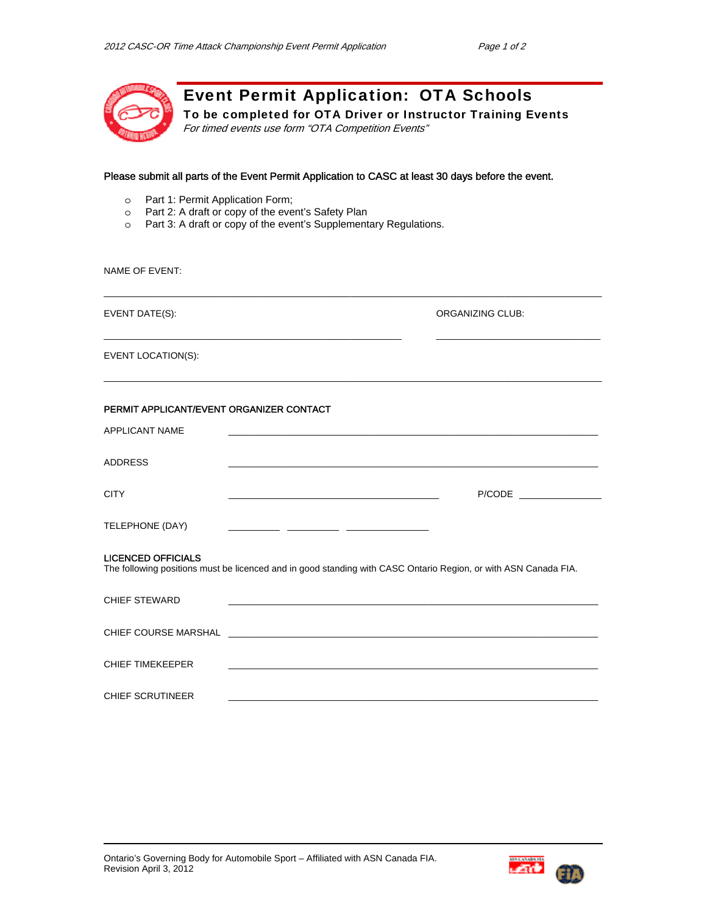

Event Permit Application: OTA Schools

 $\_$  ,  $\_$  ,  $\_$  ,  $\_$  ,  $\_$  ,  $\_$  ,  $\_$  ,  $\_$  ,  $\_$  ,  $\_$  ,  $\_$  ,  $\_$  ,  $\_$  ,  $\_$  ,  $\_$  ,  $\_$  ,  $\_$  ,  $\_$  ,  $\_$  ,  $\_$ 

\_\_\_\_\_\_\_\_\_\_\_\_\_\_\_\_\_\_\_\_\_\_\_\_\_\_\_\_\_\_\_\_\_\_\_\_\_\_\_\_\_\_\_\_\_\_\_\_\_\_\_\_\_\_\_\_\_\_ \_\_\_\_\_\_\_\_\_\_\_\_\_\_\_\_\_\_\_\_\_\_\_\_\_\_\_\_\_\_\_\_

 $\Box$ 

To be completed for OTA Driver or Instructor Training Events For timed events use form "OTA Competition Events"

# Please submit all parts of the Event Permit Application to CASC at least 30 days before the event.

- o Part 1: Permit Application Form;
- o Part 2: A draft or copy of the event's Safety Plan
- o Part 3: A draft or copy of the event's Supplementary Regulations.

#### NAME OF EVENT:

EVENT DATE(S): ORGANIZING CLUB:

EVENT LOCATION(S):

# PERMIT APPLICANT/EVENT ORGANIZER CONTACT

| <b>APPLICANT NAME</b>                                                                                                                        |                                                                                                                       |  |  |
|----------------------------------------------------------------------------------------------------------------------------------------------|-----------------------------------------------------------------------------------------------------------------------|--|--|
| ADDRESS                                                                                                                                      | <u> 1989 - Johann Stoff, amerikansk politiker (d. 1989)</u>                                                           |  |  |
| <b>CITY</b>                                                                                                                                  | P/CODE _______________                                                                                                |  |  |
| TELEPHONE (DAY)                                                                                                                              |                                                                                                                       |  |  |
| <b>LICENCED OFFICIALS</b><br>The following positions must be licenced and in good standing with CASC Ontario Region, or with ASN Canada FIA. |                                                                                                                       |  |  |
| <b>CHIEF STEWARD</b>                                                                                                                         | <u> 1989 - Johann Stoff, deutscher Stoff, der Stoff, der Stoff, der Stoff, der Stoff, der Stoff, der Stoff, der S</u> |  |  |
|                                                                                                                                              |                                                                                                                       |  |  |
| <b>CHIEF TIMEKEEPER</b>                                                                                                                      |                                                                                                                       |  |  |
| <b>CHIEF SCRUTINEER</b>                                                                                                                      |                                                                                                                       |  |  |